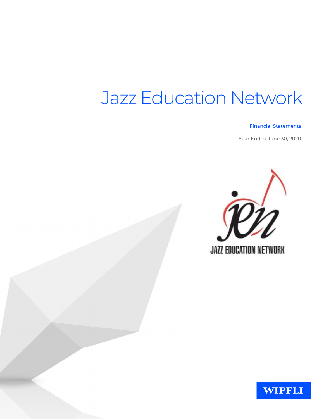#### **Financial Statements**

Year Ended June 30, 2020



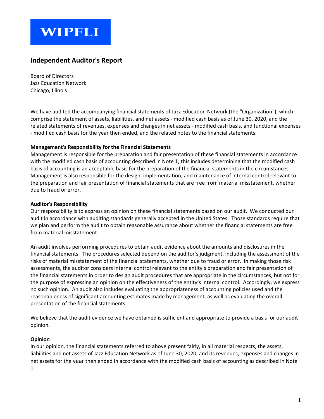## **WIPFLI**

#### **Independent Auditor's Report**

Board of Directors Jazz Education Network Chicago, Illinois

We have audited the accompanying financial statements of Jazz Education Network (the "Organization"), which comprise the statement of assets, liabilities, and net assets - modified cash basis as of June 30, 2020, and the related statements of revenues, expenses and changes in net assets - modified cash basis, and functional expenses - modified cash basis for the year then ended, and the related notes to the financial statements.

#### **Management's Responsibility for the Financial Statements**

Management is responsible for the preparation and fair presentation of these financial statements in accordance with the modified cash basis of accounting described in Note 1; this includes determining that the modified cash basis of accounting is an acceptable basis for the preparation of the financial statements in the circumstances. Management is also responsible for the design, implementation, and maintenance of internal control relevant to the preparation and fair presentation of financial statements that are free from material misstatement, whether due to fraud or error.

#### **Auditor's Responsibility**

Our responsibility is to express an opinion on these financial statements based on our audit. We conducted our audit in accordance with auditing standards generally accepted in the United States. Those standards require that we plan and perform the audit to obtain reasonable assurance about whether the financial statements are free from material misstatement.

An audit involves performing procedures to obtain audit evidence about the amounts and disclosures in the financial statements. The procedures selected depend on the auditor's judgment, including the assessment of the risks of material misstatement of the financial statements, whether due to fraud or error. In making those risk assessments, the auditor considers internal control relevant to the entity's preparation and fair presentation of the financial statements in order to design audit procedures that are appropriate in the circumstances, but not for the purpose of expressing an opinion on the effectiveness of the entity's internal control. Accordingly, we express no such opinion. An audit also includes evaluating the appropriateness of accounting policies used and the reasonableness of significant accounting estimates made by management, as well as evaluating the overall presentation of the financial statements.

We believe that the audit evidence we have obtained is sufficient and appropriate to provide a basis for our audit opinion.

#### **Opinion**

In our opinion, the financial statements referred to above present fairly, in all material respects, the assets, liabilities and net assets of Jazz Education Network as of June 30, 2020, and its revenues, expenses and changes in net assets for the year then ended in accordance with the modified cash basis of accounting as described in Note 1.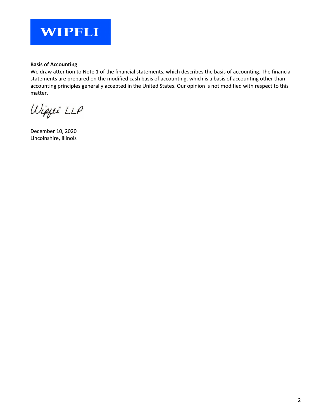

#### **Basis of Accounting**

We draw attention to Note 1 of the financial statements, which describes the basis of accounting. The financial statements are prepared on the modified cash basis of accounting, which is a basis of accounting other than accounting principles generally accepted in the United States. Our opinion is not modified with respect to this matter.

Wippei LLP

December 10, 2020 Lincolnshire, Illinois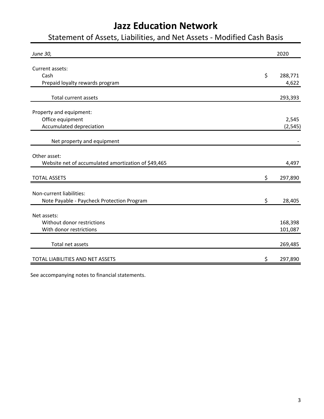## Statement of Assets, Liabilities, and Net Assets - Modified Cash Basis

| June 30,                                            | 2020          |
|-----------------------------------------------------|---------------|
| Current assets:                                     |               |
| Cash                                                | \$<br>288,771 |
| Prepaid loyalty rewards program                     | 4,622         |
|                                                     |               |
| <b>Total current assets</b>                         | 293,393       |
| Property and equipment:                             |               |
| Office equipment                                    | 2,545         |
| Accumulated depreciation                            | (2, 545)      |
|                                                     |               |
| Net property and equipment                          |               |
| Other asset:                                        |               |
| Website net of accumulated amortization of \$49,465 | 4,497         |
|                                                     |               |
| <b>TOTAL ASSETS</b>                                 | \$<br>297,890 |
| Non-current liabilities:                            |               |
| Note Payable - Paycheck Protection Program          | \$<br>28,405  |
|                                                     |               |
| Net assets:                                         |               |
| Without donor restrictions                          | 168,398       |
| With donor restrictions                             | 101,087       |
|                                                     |               |
| Total net assets                                    | 269,485       |
| TOTAL LIABILITIES AND NET ASSETS                    | \$<br>297,890 |

See accompanying notes to financial statements.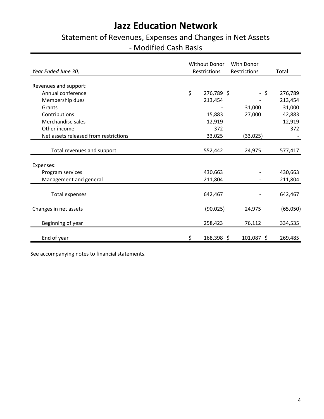## Statement of Revenues, Expenses and Changes in Net Assets - Modified Cash Basis

|                                       | <b>Without Donor</b> | With Donor   |          |
|---------------------------------------|----------------------|--------------|----------|
| Year Ended June 30,                   | Restrictions         | Restrictions | Total    |
| Revenues and support:                 |                      |              |          |
| Annual conference                     | \$<br>276,789 \$     | - \$         | 276,789  |
| Membership dues                       | 213,454              |              | 213,454  |
| Grants                                |                      | 31,000       | 31,000   |
| Contributions                         | 15,883               | 27,000       | 42,883   |
| Merchandise sales                     | 12,919               |              | 12,919   |
| Other income                          | 372                  |              | 372      |
| Net assets released from restrictions | 33,025               | (33,025)     |          |
|                                       |                      |              |          |
| Total revenues and support            | 552,442              | 24,975       | 577,417  |
|                                       |                      |              |          |
| Expenses:                             |                      |              |          |
| Program services                      | 430,663              |              | 430,663  |
| Management and general                | 211,804              |              | 211,804  |
|                                       |                      |              |          |
| <b>Total expenses</b>                 | 642,467              |              | 642,467  |
| Changes in net assets                 | (90, 025)            | 24,975       | (65,050) |
| Beginning of year                     | 258,423              | 76,112       | 334,535  |
| End of year                           | \$<br>168,398 \$     | 101,087 \$   | 269,485  |

See accompanying notes to financial statements.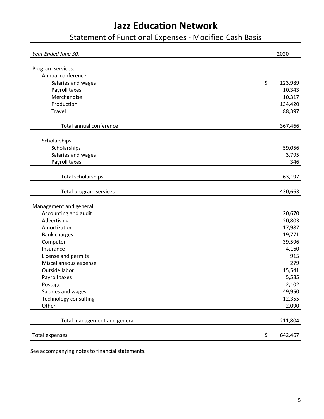## Statement of Functional Expenses - Modified Cash Basis

| Year Ended June 30,                     | 2020          |
|-----------------------------------------|---------------|
|                                         |               |
| Program services:<br>Annual conference: |               |
|                                         |               |
| Salaries and wages                      | \$<br>123,989 |
| Payroll taxes                           | 10,343        |
| Merchandise                             | 10,317        |
| Production                              | 134,420       |
| <b>Travel</b>                           | 88,397        |
| Total annual conference                 | 367,466       |
| Scholarships:                           |               |
| Scholarships                            | 59,056        |
| Salaries and wages                      | 3,795         |
| Payroll taxes                           | 346           |
|                                         |               |
| Total scholarships                      | 63,197        |
| Total program services                  | 430,663       |
| Management and general:                 |               |
| Accounting and audit                    | 20,670        |
| Advertising                             | 20,803        |
| Amortization                            | 17,987        |
| <b>Bank charges</b>                     | 19,771        |
| Computer                                | 39,596        |
| Insurance                               | 4,160         |
| License and permits                     | 915           |
| Miscellaneous expense                   | 279           |
| Outside labor                           | 15,541        |
| Payroll taxes                           | 5,585         |
| Postage                                 | 2,102         |
| Salaries and wages                      | 49,950        |
| Technology consulting                   | 12,355        |
| Other                                   | 2,090         |
|                                         |               |
| Total management and general            | 211,804       |
| <b>Total expenses</b>                   | \$<br>642,467 |

See accompanying notes to financial statements.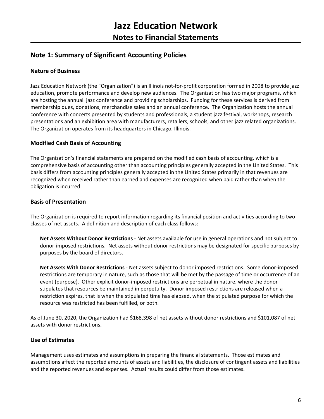#### **Note 1: Summary of Significant Accounting Policies**

#### **Nature of Business**

Jazz Education Network (the "Organization") is an Illinois not-for-profit corporation formed in 2008 to provide jazz education, promote performance and develop new audiences. The Organization has two major programs, which are hosting the annual jazz conference and providing scholarships. Funding for these services is derived from membership dues, donations, merchandise sales and an annual conference. The Organization hosts the annual conference with concerts presented by students and professionals, a student jazz festival, workshops, research presentations and an exhibition area with manufacturers, retailers, schools, and other jazz related organizations. The Organization operates from its headquarters in Chicago, Illinois.

#### **Modified Cash Basis of Accounting**

The Organization's financial statements are prepared on the modified cash basis of accounting, which is a comprehensive basis of accounting other than accounting principles generally accepted in the United States. This basis differs from accounting principles generally accepted in the United States primarily in that revenues are recognized when received rather than earned and expenses are recognized when paid rather than when the obligation is incurred.

#### **Basis of Presentation**

The Organization is required to report information regarding its financial position and activities according to two classes of net assets. A definition and description of each class follows:

**Net Assets Without Donor Restrictions** - Net assets available for use in general operations and not subject to donor-imposed restrictions. Net assets without donor restrictions may be designated for specific purposes by purposes by the board of directors.

**Net Assets With Donor Restrictions** - Net assets subject to donor imposed restrictions. Some donor-imposed restrictions are temporary in nature, such as those that will be met by the passage of time or occurrence of an event (purpose). Other explicit donor-imposed restrictions are perpetual in nature, where the donor stipulates that resources be maintained in perpetuity. Donor imposed restrictions are released when a restriction expires, that is when the stipulated time has elapsed, when the stipulated purpose for which the resource was restricted has been fulfilled, or both.

As of June 30, 2020, the Organization had \$168,398 of net assets without donor restrictions and \$101,087 of net assets with donor restrictions.

#### **Use of Estimates**

Management uses estimates and assumptions in preparing the financial statements. Those estimates and assumptions affect the reported amounts of assets and liabilities, the disclosure of contingent assets and liabilities and the reported revenues and expenses. Actual results could differ from those estimates.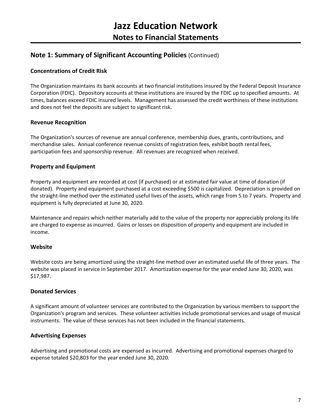#### **Note 1: Summary of Significant Accounting Policies** (Continued)

#### **Concentrations of Credit Risk**

The Organization maintains its bank accounts at two financial institutions insured by the Federal Deposit Insurance Corporation (FDIC). Depository accounts at these institutions are insured by the FDIC up to specified amounts. At times, balances exceed FDIC insured levels. Management has assessed the credit worthiness of these institutions and does not feel the deposits are subject to significant risk.

#### **Revenue Recognition**

The Organization's sources of revenue are annual conference, membership dues, grants, contributions, and merchandise sales. Annual conference revenue consists of registration fees, exhibit booth rental fees, participation fees and sponsorship revenue. All revenues are recognized when received.

#### **Property and Equipment**

Property and equipment are recorded at cost (if purchased) or at estimated fair value at time of donation (if donated). Property and equipment purchased at a cost exceeding \$500 is capitalized. Depreciation is provided on the straight-line method over the estimated useful lives of the assets, which range from 5 to 7 years. Property and equipment is fully depreciated at June 30, 2020.

Maintenance and repairs which neither materially add to the value of the property nor appreciably prolong its life are charged to expense as incurred. Gains or losses on disposition of property and equipment are included in income.

#### **Website**

Website costs are being amortized using the straight-line method over an estimated useful life of three years. The website was placed in service in September 2017. Amortization expense for the year ended June 30, 2020, was \$17,987.

#### **Donated Services**

A significant amount of volunteer services are contributed to the Organization by various members to support the Organization's program and services. These volunteer activities include promotional services and usage of musical instruments. The value of these services has not been included in the financial statements.

#### **Advertising Expenses**

Advertising and promotional costs are expensed as incurred. Advertising and promotional expenses charged to expense totaled \$20,803 for the year ended June 30, 2020.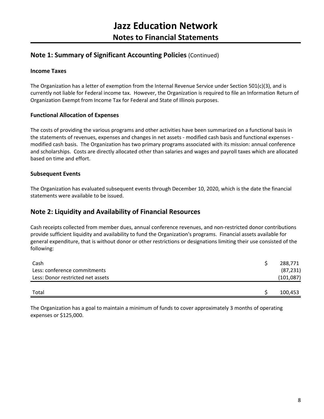#### **Note 1: Summary of Significant Accounting Policies** (Continued)

#### **Income Taxes**

The Organization has a letter of exemption from the Internal Revenue Service under Section 501(c)(3), and is currently not liable for Federal income tax. However, the Organization is required to file an Information Return of Organization Exempt from Income Tax for Federal and State of Illinois purposes.

#### **Functional Allocation of Expenses**

The costs of providing the various programs and other activities have been summarized on a functional basis in the statements of revenues, expenses and changes in net assets - modified cash basis and functional expenses modified cash basis. The Organization has two primary programs associated with its mission: annual conference and scholarships. Costs are directly allocated other than salaries and wages and payroll taxes which are allocated based on time and effort.

#### **Subsequent Events**

The Organization has evaluated subsequent events through December 10, 2020, which is the date the financial statements were available to be issued.

#### **Note 2: Liquidity and Availability of Financial Resources**

Cash receipts collected from member dues, annual conference revenues, and non-restricted donor contributions provide sufficient liquidity and availability to fund the Organization's programs. Financial assets available for general expenditure, that is without donor or other restrictions or designations limiting their use consisted of the following:

| Cash                              | 288,771    |
|-----------------------------------|------------|
| Less: conference commitments      | (87, 231)  |
| Less: Donor restricted net assets | (101, 087) |
|                                   |            |
| Total                             | 100,453    |

The Organization has a goal to maintain a minimum of funds to cover approximately 3 months of operating expenses or \$125,000.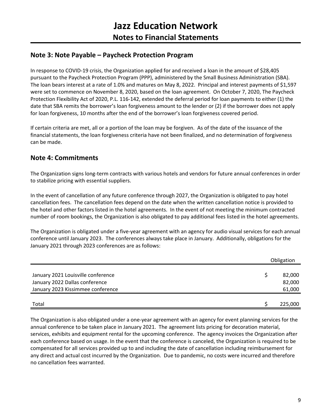#### **Note 3: Note Payable – Paycheck Protection Program**

In response to COVID-19 crisis, the Organization applied for and received a loan in the amount of \$28,405 pursuant to the Paycheck Protection Program (PPP), administered by the Small Business Administration (SBA). The loan bears interest at a rate of 1.0% and matures on May 8, 2022. Principal and interest payments of \$1,597 were set to commence on November 8, 2020, based on the loan agreement. On October 7, 2020, The Paycheck Protection Flexibility Act of 2020, P.L. 116-142, extended the deferral period for loan payments to either (1) the date that SBA remits the borrower's loan forgiveness amount to the lender or (2) if the borrower does not apply for loan forgiveness, 10 months after the end of the borrower's loan forgiveness covered period.

If certain criteria are met, all or a portion of the loan may be forgiven. As of the date of the issuance of the financial statements, the loan forgiveness criteria have not been finalized, and no determination of forgiveness can be made.

#### **Note 4: Commitments**

The Organization signs long-term contracts with various hotels and vendors for future annual conferences in order to stabilize pricing with essential suppliers.

In the event of cancellation of any future conference through 2027, the Organization is obligated to pay hotel cancellation fees. The cancellation fees depend on the date when the written cancellation notice is provided to the hotel and other factors listed in the hotel agreements. In the event of not meeting the minimum contracted number of room bookings, the Organization is also obligated to pay additional fees listed in the hotel agreements.

The Organization is obligated under a five-year agreement with an agency for audio visual services for each annual conference until January 2023. The conferences always take place in January. Additionally, obligations for the January 2021 through 2023 conferences are as follows:

|                                    | Obligation |  |
|------------------------------------|------------|--|
|                                    |            |  |
| January 2021 Louisville conference | 82,000     |  |
| January 2022 Dallas conference     | 82,000     |  |
| January 2023 Kissimmee conference  | 61,000     |  |
|                                    |            |  |
| Total                              | 225,000    |  |

The Organization is also obligated under a one-year agreement with an agency for event planning services for the annual conference to be taken place in January 2021. The agreement lists pricing for decoration material, services, exhibits and equipment rental for the upcoming conference. The agency invoices the Organization after each conference based on usage. In the event that the conference is canceled, the Organization is required to be compensated for all services provided up to and including the date of cancellation including reimbursement for any direct and actual cost incurred by the Organization. Due to pandemic, no costs were incurred and therefore no cancellation fees warranted.